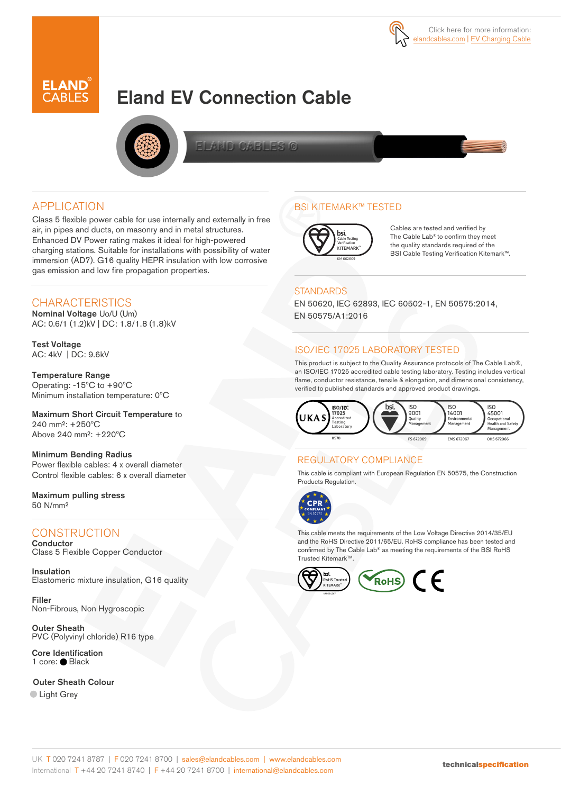

# Eland EV Connection Cable



FLANDLOAFILESLO

### APPLICATION

Class 5 flexible power cable for use internally and externally in free air, in pipes and ducts, on masonry and in metal structures. Enhanced DV Power rating makes it ideal for high-powered charging stations. Suitable for installations with possibility of water immersion (AD7). G16 quality HEPR insulation with low corrosive gas emission and low fire propagation properties.

### **CHARACTERISTICS**

Nominal Voltage Uo/U (Um) AC: 0.6/1 (1.2)kV | DC: 1.8/1.8 (1.8)kV

Test Voltage AC: 4kV | DC: 9.6kV

Temperature Range Operating: -15ºC to +90ºC Minimum installation temperature: 0ºC

Maximum Short Circuit Temperature to 240 mm²: +250ºC Above 240 mm²: +220ºC

Minimum Bending Radius Power flexible cables: 4 x overall diameter Control flexible cables: 6 x overall diameter

Maximum pulling stress 50 N/mm²

## **CONSTRUCTION**

**Conductor** Class 5 Flexible Copper Conductor

Insulation Elastomeric mixture insulation, G16 quality

Filler Non-Fibrous, Non Hygroscopic

Outer Sheath PVC (Polyvinyl chloride) R16 type

Core Identification 1 core: ● Black

Outer Sheath Colour **Light Grey** 

### BSI KITEMARK™ TESTED



Cables are tested and verified by The Cable Lab® to confirm they meet the quality standards required of the BSI Cable Testing Verification Kitemark™.

#### **STANDARDS**

EN 50620, IEC 62893, IEC 60502-1, EN 50575:2014, EN 50575/A1:2016

#### ISO/IEC 17025 LABORATORY TESTED

This product is subject to the Quality Assurance protocols of The Cable Lab®, an ISO/IEC 17025 accredited cable testing laboratory. Testing includes vertical flame, conductor resistance, tensile & elongation, and dimensional consistency, verified to published standards and approved product drawings.



#### REGULATORY COMPLIANCE

This cable is compliant with European Regulation EN 50575, the Construction Products Regulation.



This cable meets the requirements of the Low Voltage Directive 2014/35/EU and the RoHS Directive 2011/65/EU. RoHS compliance has been tested and confirmed by The Cable Lab® as meeting the requirements of the BSI RoHS Trusted Kitemark™.